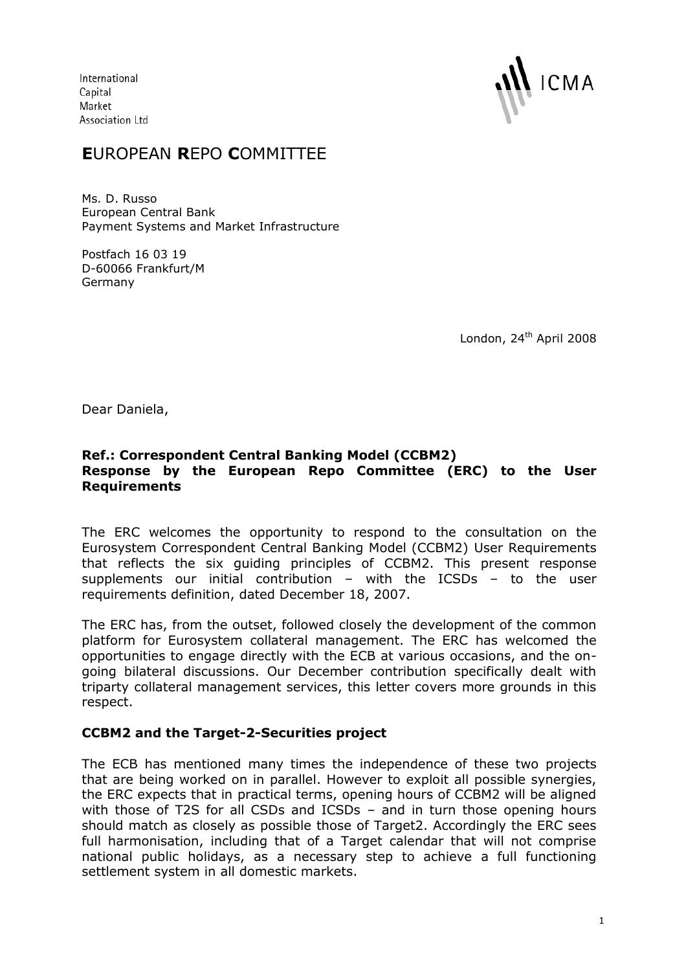International Capital Market Association Ltd



# **E**UROPEAN **R**EPO **C**OMMITTEE

Ms. D. Russo European Central Bank Payment Systems and Market Infrastructure

Postfach 16 03 19 D-60066 Frankfurt/M Germany

London, 24<sup>th</sup> April 2008

Dear Daniela,

## **Ref.: Correspondent Central Banking Model (CCBM2) Response by the European Repo Committee (ERC) to the User Requirements**

The ERC welcomes the opportunity to respond to the consultation on the Eurosystem Correspondent Central Banking Model (CCBM2) User Requirements that reflects the six guiding principles of CCBM2. This present response supplements our initial contribution – with the ICSDs – to the user requirements definition, dated December 18, 2007.

The ERC has, from the outset, followed closely the development of the common platform for Eurosystem collateral management. The ERC has welcomed the opportunities to engage directly with the ECB at various occasions, and the ongoing bilateral discussions. Our December contribution specifically dealt with triparty collateral management services, this letter covers more grounds in this respect.

# **CCBM2 and the Target-2-Securities project**

The ECB has mentioned many times the independence of these two projects that are being worked on in parallel. However to exploit all possible synergies, the ERC expects that in practical terms, opening hours of CCBM2 will be aligned with those of T2S for all CSDs and ICSDs - and in turn those opening hours should match as closely as possible those of Target2. Accordingly the ERC sees full harmonisation, including that of a Target calendar that will not comprise national public holidays, as a necessary step to achieve a full functioning settlement system in all domestic markets.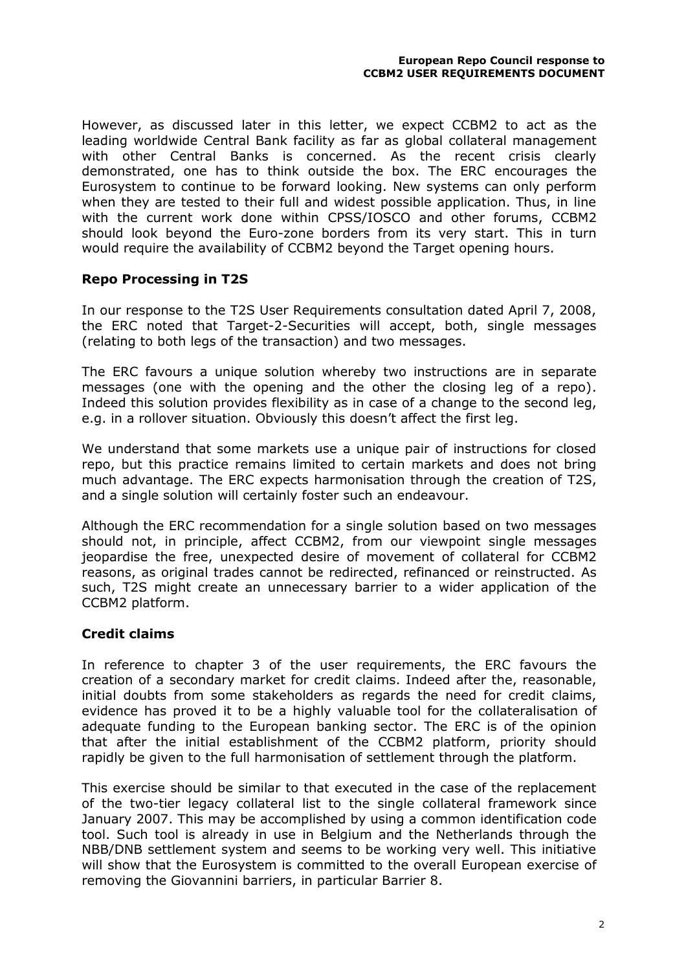However, as discussed later in this letter, we expect CCBM2 to act as the leading worldwide Central Bank facility as far as global collateral management with other Central Banks is concerned. As the recent crisis clearly demonstrated, one has to think outside the box. The ERC encourages the Eurosystem to continue to be forward looking. New systems can only perform when they are tested to their full and widest possible application. Thus, in line with the current work done within CPSS/IOSCO and other forums, CCBM2 should look beyond the Euro-zone borders from its very start. This in turn would require the availability of CCBM2 beyond the Target opening hours.

## **Repo Processing in T2S**

In our response to the T2S User Requirements consultation dated April 7, 2008, the ERC noted that Target-2-Securities will accept, both, single messages (relating to both legs of the transaction) and two messages.

The ERC favours a unique solution whereby two instructions are in separate messages (one with the opening and the other the closing leg of a repo). Indeed this solution provides flexibility as in case of a change to the second leg, e.g. in a rollover situation. Obviously this doesn't affect the first leg.

We understand that some markets use a unique pair of instructions for closed repo, but this practice remains limited to certain markets and does not bring much advantage. The ERC expects harmonisation through the creation of T2S, and a single solution will certainly foster such an endeavour.

Although the ERC recommendation for a single solution based on two messages should not, in principle, affect CCBM2, from our viewpoint single messages jeopardise the free, unexpected desire of movement of collateral for CCBM2 reasons, as original trades cannot be redirected, refinanced or reinstructed. As such, T2S might create an unnecessary barrier to a wider application of the CCBM2 platform.

# **Credit claims**

In reference to chapter 3 of the user requirements, the ERC favours the creation of a secondary market for credit claims. Indeed after the, reasonable, initial doubts from some stakeholders as regards the need for credit claims, evidence has proved it to be a highly valuable tool for the collateralisation of adequate funding to the European banking sector. The ERC is of the opinion that after the initial establishment of the CCBM2 platform, priority should rapidly be given to the full harmonisation of settlement through the platform.

This exercise should be similar to that executed in the case of the replacement of the two-tier legacy collateral list to the single collateral framework since January 2007. This may be accomplished by using a common identification code tool. Such tool is already in use in Belgium and the Netherlands through the NBB/DNB settlement system and seems to be working very well. This initiative will show that the Eurosystem is committed to the overall European exercise of removing the Giovannini barriers, in particular Barrier 8.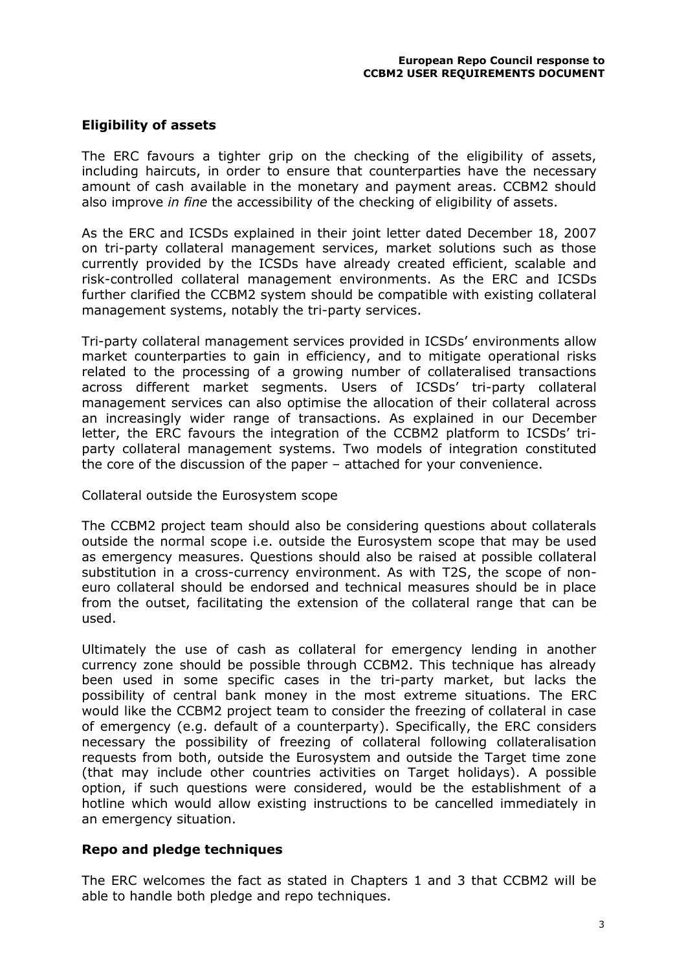## **Eligibility of assets**

The ERC favours a tighter grip on the checking of the eligibility of assets, including haircuts, in order to ensure that counterparties have the necessary amount of cash available in the monetary and payment areas. CCBM2 should also improve *in fine* the accessibility of the checking of eligibility of assets.

As the ERC and ICSDs explained in their joint letter dated December 18, 2007 on tri-party collateral management services, market solutions such as those currently provided by the ICSDs have already created efficient, scalable and risk-controlled collateral management environments. As the ERC and ICSDs further clarified the CCBM2 system should be compatible with existing collateral management systems, notably the tri-party services.

Tri-party collateral management services provided in ICSDs' environments allow market counterparties to gain in efficiency, and to mitigate operational risks related to the processing of a growing number of collateralised transactions across different market segments. Users of ICSDs' tri-party collateral management services can also optimise the allocation of their collateral across an increasingly wider range of transactions. As explained in our December letter, the ERC favours the integration of the CCBM2 platform to ICSDs' triparty collateral management systems. Two models of integration constituted the core of the discussion of the paper – attached for your convenience.

#### Collateral outside the Eurosystem scope

The CCBM2 project team should also be considering questions about collaterals outside the normal scope i.e. outside the Eurosystem scope that may be used as emergency measures. Questions should also be raised at possible collateral substitution in a cross-currency environment. As with T2S, the scope of noneuro collateral should be endorsed and technical measures should be in place from the outset, facilitating the extension of the collateral range that can be used.

Ultimately the use of cash as collateral for emergency lending in another currency zone should be possible through CCBM2. This technique has already been used in some specific cases in the tri-party market, but lacks the possibility of central bank money in the most extreme situations. The ERC would like the CCBM2 project team to consider the freezing of collateral in case of emergency (e.g. default of a counterparty). Specifically, the ERC considers necessary the possibility of freezing of collateral following collateralisation requests from both, outside the Eurosystem and outside the Target time zone (that may include other countries activities on Target holidays). A possible option, if such questions were considered, would be the establishment of a hotline which would allow existing instructions to be cancelled immediately in an emergency situation.

#### **Repo and pledge techniques**

The ERC welcomes the fact as stated in Chapters 1 and 3 that CCBM2 will be able to handle both pledge and repo techniques.